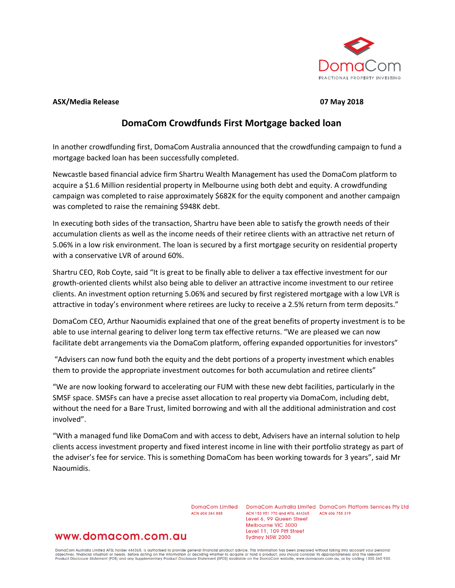

#### **ASX/Media Release 07 May 2018**

# **DomaCom Crowdfunds First Mortgage backed loan**

In another crowdfunding first, DomaCom Australia announced that the crowdfunding campaign to fund a mortgage backed loan has been successfully completed.

Newcastle based financial advice firm Shartru Wealth Management has used the DomaCom platform to acquire a \$1.6 Million residential property in Melbourne using both debt and equity. A crowdfunding campaign was completed to raise approximately \$682K for the equity component and another campaign was completed to raise the remaining \$948K debt.

In executing both sides of the transaction, Shartru have been able to satisfy the growth needs of their accumulation clients as well as the income needs of their retiree clients with an attractive net return of 5.06% in a low risk environment. The loan is secured by a first mortgage security on residential property with a conservative LVR of around 60%.

Shartru CEO, Rob Coyte, said "It is great to be finally able to deliver a tax effective investment for our growth-oriented clients whilst also being able to deliver an attractive income investment to our retiree clients. An investment option returning 5.06% and secured by first registered mortgage with a low LVR is attractive in today's environment where retirees are lucky to receive a 2.5% return from term deposits."

DomaCom CEO, Arthur Naoumidis explained that one of the great benefits of property investment is to be able to use internal gearing to deliver long term tax effective returns. "We are pleased we can now facilitate debt arrangements via the DomaCom platform, offering expanded opportunities for investors"

"Advisers can now fund both the equity and the debt portions of a property investment which enables them to provide the appropriate investment outcomes for both accumulation and retiree clients"

"We are now looking forward to accelerating our FUM with these new debt facilities, particularly in the SMSF space. SMSFs can have a precise asset allocation to real property via DomaCom, including debt, without the need for a Bare Trust, limited borrowing and with all the additional administration and cost involved".

"With a managed fund like DomaCom and with access to debt, Advisers have an internal solution to help clients access investment property and fixed interest income in line with their portfolio strategy as part of the adviser's fee for service. This is something DomaCom has been working towards for 3 years", said Mr Naoumidis.

ACN 604 384 885

DomaCom Limited DomaCom Australia Limited DomaCom Platform Services Pty Ltd ACN 153 951 770 and AFSL 444365 ACN 606 755 319 Level 6, 99 Queen Street Melbourne VIC 3000 Level 11, 109 Pitt Street Sydney NSW 2000

## www.domacom.com.au

DomaCom Australia Limited AFSL holder 444365, is authorised to provide general financial product advice. This information has been prepared without taking into account your personal<br>objectives, financial situation or needs